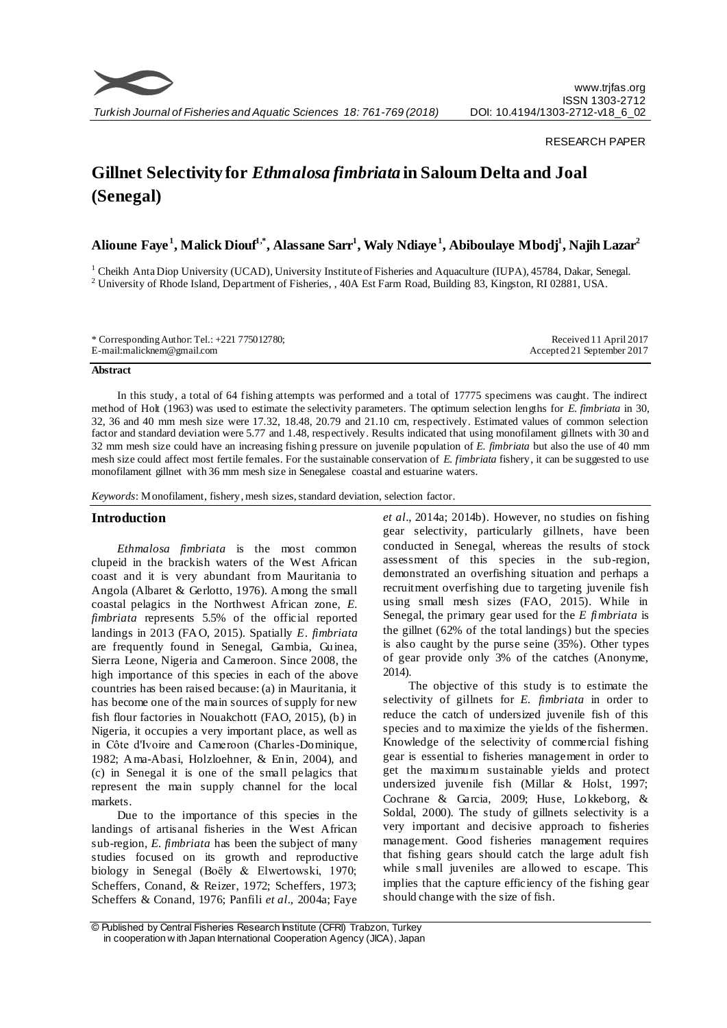

## RESEARCH PAPER

# **Gillnet Selectivity for** *Ethmalosa fimbriata* **in Saloum Delta and Joal (Senegal)**

**Alioune Faye <sup>1</sup> , Malick Diouf1,\*, Alassane Sarr<sup>1</sup> , Waly Ndiaye <sup>1</sup> , Abiboulaye Mbodj<sup>1</sup> , Najih Lazar<sup>2</sup>**

<sup>1</sup> Cheikh Anta Diop University (UCAD), University Institute of Fisheries and Aquaculture (IUPA), 45784, Dakar, Senegal. <sup>2</sup> University of Rhode Island, Department of Fisheries, , 40A Est Farm Road, Building 83, Kingston, RI 02881, USA.

| * Corresponding Author: Tel.: $+221$ 775012780; | Received 11 April 2017     |
|-------------------------------------------------|----------------------------|
| E-mail:malicknem@gmail.com                      | Accepted 21 September 2017 |

#### **Abstract**

In this study, a total of 64 fishing attempts was performed and a total of 17775 specimens was caught. The indirect method of Holt (1963) was used to estimate the selectivity parameters. The optimum selection lengths for *E. fimbriata* in 30, 32, 36 and 40 mm mesh size were 17.32, 18.48, 20.79 and 21.10 cm, respectively. Estimated values of common selection factor and standard deviation were 5.77 and 1.48, respectively. Results indicated that using monofilament gillnets with 30 and 32 mm mesh size could have an increasing fishing pressure on juvenile population of *E. fimbriata* but also the use of 40 mm mesh size could affect most fertile females. For the sustainable conservation of *E. fimbriata* fishery, it can be suggested to use monofilament gillnet with 36 mm mesh size in Senegalese coastal and estuarine waters.

*Keywords*: Monofilament, fishery, mesh sizes, standard deviation, selection factor.

# **Introduction**

*Ethmalosa fimbriata* is the most common clupeid in the brackish waters of the West African coast and it is very abundant from Mauritania to Angola (Albaret & Gerlotto, 1976). Among the small coastal pelagics in the Northwest African zone, *E. fimbriata* represents 5.5% of the official reported landings in 2013 (FAO, 2015). Spatially *E. fimbriata* are frequently found in Senegal, Gambia, Guinea, Sierra Leone, Nigeria and Cameroon. Since 2008, the high importance of this species in each of the above countries has been raised because: (a) in Mauritania, it has become one of the main sources of supply for new fish flour factories in Nouakchott (FAO, 2015), (b) in Nigeria, it occupies a very important place, as well as in Côte d'Ivoire and Cameroon (Charles-Dominique, 1982; Ama-Abasi, Holzloehner, & Enin, 2004), and (c) in Senegal it is one of the small pelagics that represent the main supply channel for the local markets.

Due to the importance of this species in the landings of artisanal fisheries in the West African sub-region, *E. fimbriata* has been the subject of many studies focused on its growth and reproductive biology in Senegal (Boëly & Elwertowski, 1970; Scheffers, Conand, & Reizer, 1972; Scheffers, 1973; Scheffers & Conand, 1976; Panfili *et al*., 2004a; Faye

*et al*., 2014a; 2014b). However, no studies on fishing gear selectivity, particularly gillnets, have been conducted in Senegal, whereas the results of stock assessment of this species in the sub-region, demonstrated an overfishing situation and perhaps a recruitment overfishing due to targeting juvenile fish using small mesh sizes (FAO, 2015). While in Senegal, the primary gear used for the *E fimbriata* is the gillnet (62% of the total landings) but the species is also caught by the purse seine (35%). Other types of gear provide only 3% of the catches (Anonyme, 2014).

The objective of this study is to estimate the selectivity of gillnets for *E. fimbriata* in order to reduce the catch of undersized juvenile fish of this species and to maximize the yields of the fishermen. Knowledge of the selectivity of commercial fishing gear is essential to fisheries management in order to get the maximum sustainable yields and protect undersized juvenile fish (Millar & Holst, 1997; Cochrane & Garcia, 2009; Huse, Lokkeborg, & Soldal, 2000). The study of gillnets selectivity is a very important and decisive approach to fisheries management. Good fisheries management requires that fishing gears should catch the large adult fish while small juveniles are allowed to escape. This implies that the capture efficiency of the fishing gear should change with the size of fish.

<sup>©</sup> Published by Central Fisheries Research Institute (CFRI) Trabzon, Turkey in cooperation w ith Japan International Cooperation Agency (JICA), Japan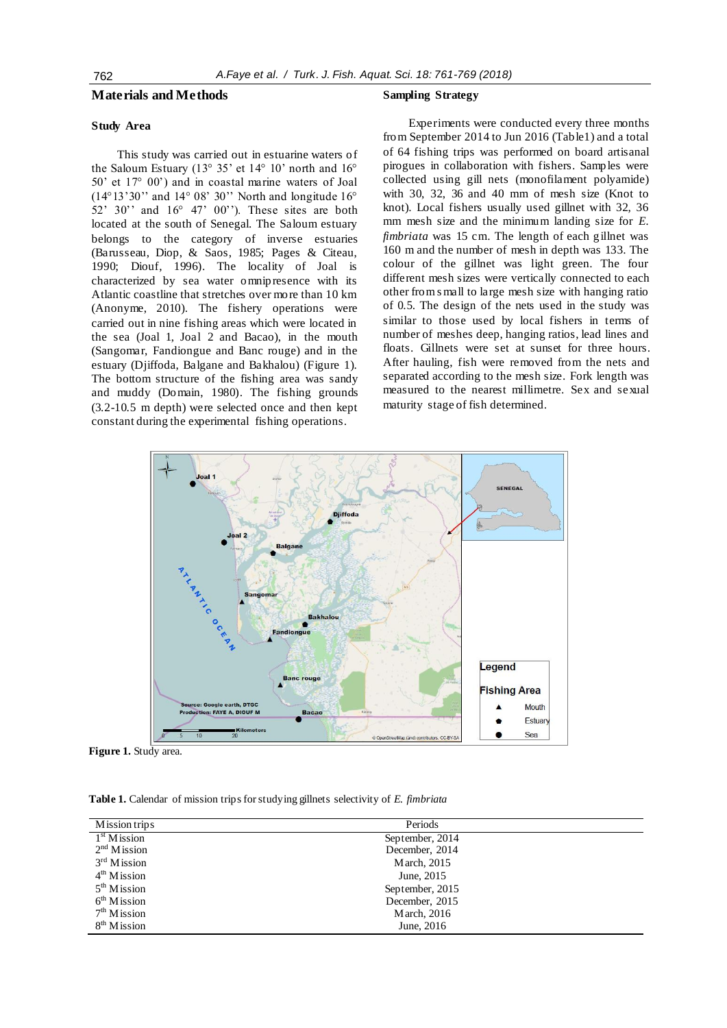### **Materials and Methods**

# **Study Area**

This study was carried out in estuarine waters of the Saloum Estuary (13° 35' et 14° 10' north and 16° 50' et 17° 00') and in coastal marine waters of Joal  $(14^{\circ}13'30'')$  and  $14^{\circ}08'30''$  North and longitude  $16^{\circ}$ 52' 30'' and  $16^{\circ}$  47' 00''). These sites are both located at the south of Senegal. The Saloum estuary belongs to the category of inverse estuaries (Barusseau, Diop, & Saos, 1985; Pages & Citeau, 1990; Diouf, 1996). The locality of Joal is characterized by sea water omnipresence with its Atlantic coastline that stretches over more than 10 km (Anonyme, 2010). The fishery operations were carried out in nine fishing areas which were located in the sea (Joal 1, Joal 2 and Bacao), in the mouth (Sangomar, Fandiongue and Banc rouge) and in the estuary (Djiffoda, Balgane and Bakhalou) (Figure 1). The bottom structure of the fishing area was sandy and muddy (Domain, 1980). The fishing grounds (3.2-10.5 m depth) were selected once and then kept constant during the experimental fishing operations.

#### **Sampling Strategy**

Experiments were conducted every three months from September 2014 to Jun 2016 (Table1) and a total of 64 fishing trips was performed on board artisanal pirogues in collaboration with fishers. Samples were collected using gill nets (monofilament polyamide) with 30, 32, 36 and 40 mm of mesh size (Knot to knot). Local fishers usually used gillnet with 32, 36 mm mesh size and the minimum landing size for *E*. *fimbriata* was 15 cm. The length of each gillnet was 160 m and the number of mesh in depth was 133. The colour of the gillnet was light green. The four different mesh sizes were vertically connected to each other from s mall to large mesh size with hanging ratio of 0.5. The design of the nets used in the study was similar to those used by local fishers in terms of number of meshes deep, hanging ratios, lead lines and floats. Gillnets were set at sunset for three hours. After hauling, fish were removed from the nets and separated according to the mesh size. Fork length was measured to the nearest millimetre. Sex and sexual maturity stage of fish determined.



**Figure 1.** Study area.

**Table 1.** Calendar of mission trips for studying gillnets selectivity of *E. fimbriata*

| Mission trips             | Periods         |  |
|---------------------------|-----------------|--|
| 1 <sup>st</sup> M is sion | September, 2014 |  |
| 2 <sup>nd</sup> M is sion | December, 2014  |  |
| $3rd$ Mission             | March, 2015     |  |
| 4 <sup>th</sup> M is sion | June, 2015      |  |
| 5 <sup>th</sup> M is sion | September, 2015 |  |
| 6 <sup>th</sup> Mission   | December, 2015  |  |
| 7 <sup>th</sup> Mission   | March, 2016     |  |
| 8 <sup>th</sup> Mission   | June, 2016      |  |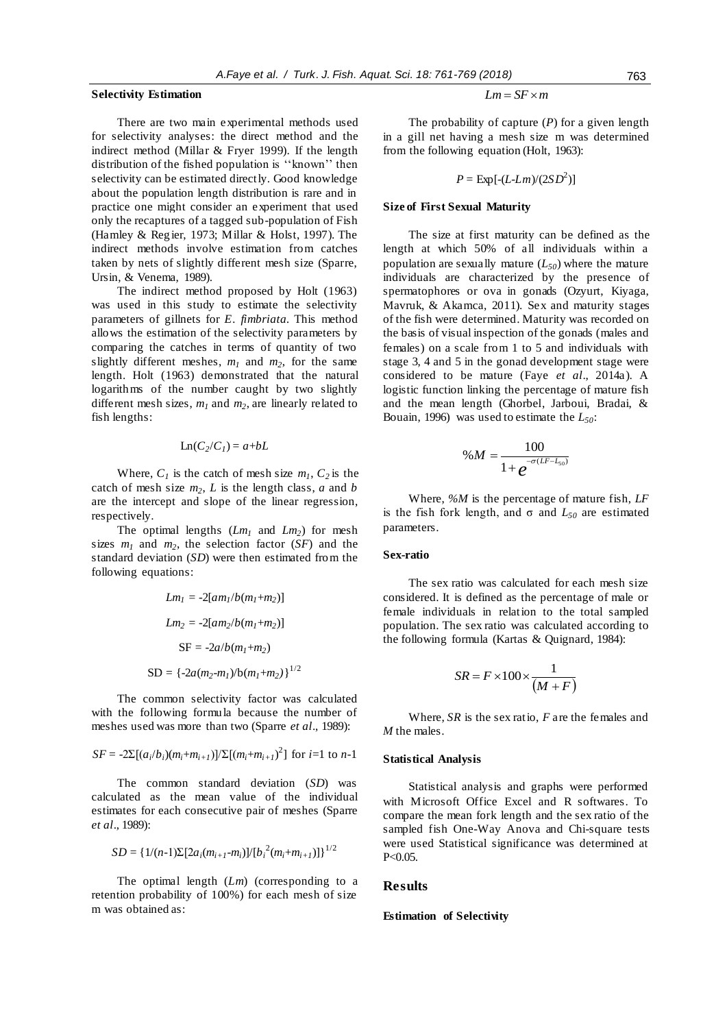#### **Selectivity Estimation**

There are two main experimental methods used for selectivity analyses: the direct method and the indirect method (Millar & Fryer 1999). If the length distribution of the fished population is ''known'' then selectivity can be estimated directly. Good knowledge about the population length distribution is rare and in practice one might consider an experiment that used only the recaptures of a tagged sub-population of Fish (Hamley & Reg ier, 1973; Millar & Holst, 1997). The indirect methods involve estimation from catches taken by nets of slightly different mesh size (Sparre, Ursin, & Venema, 1989).

The indirect method proposed by Holt (1963) was used in this study to estimate the selectivity parameters of gillnets for *E. fimbriata.* This method allows the estimation of the selectivity parameters by comparing the catches in terms of quantity of two slightly different meshes,  $m_l$  and  $m_2$ , for the same length. Holt (1963) demonstrated that the natural logarithms of the number caught by two slightly different mesh sizes, *m<sup>1</sup>* and *m2*, are linearly related to fish lengths:

$$
Ln(C_2/C_1) = a+bL
$$

Where,  $C_1$  is the catch of mesh size  $m_1$ ,  $C_2$  is the catch of mesh size  $m_2$ ,  $L$  is the length class,  $a$  and  $b$ are the intercept and slope of the linear regression, respectively.

The optimal lengths  $(Lm_1 \text{ and } Lm_2)$  for mesh sizes  $m_1$  and  $m_2$ , the selection factor (*SF*) and the standard deviation (*SD*) were then estimated from the following equations:

$$
Lm_1 = -2[am_1/b(m_1+m_2)]
$$
  
\n
$$
Lm_2 = -2[am_2/b(m_1+m_2)]
$$
  
\n
$$
SF = -2a/b(m_1+m_2)
$$
  
\n
$$
SD = \{-2a(m_2-m_1/b(m_1+m_2)\}^{1/2}
$$

The common selectivity factor was calculated with the following formula because the number of meshes used was more than two (Sparre *et al*., 1989):

$$
SF = -2\Sigma[(a_i/b_i)(m_i+m_{i+1})]\Sigma[(m_i+m_{i+1})^2]
$$
 for *i*=1 to *n*-1

The common standard deviation (*SD*) was calculated as the mean value of the individual estimates for each consecutive pair of meshes (Sparre *et al*., 1989):

$$
SD = \{1/(n-1)\Sigma[2a_i(m_{i+1}-m_i)]/[b_i^2(m_i+m_{i+1})]\}^{1/2}
$$

The optimal length (*Lm*) (corresponding to a retention probability of 100%) for each mesh of size m was obtained as:

$$
Lm = SF \times m
$$

The probability of capture (*P*) for a given length in a gill net having a mesh size m was determined from the following equation (Holt, 1963):

$$
P = \text{Exp}[-(L\text{-}Lm)/(2SD^2)]
$$

## **Size of First Sexual Maturity**

The size at first maturity can be defined as the length at which 50% of all individuals within a population are sexually mature  $(L_{50})$  where the mature individuals are characterized by the presence of spermatophores or ova in gonads (Ozyurt, Kiyaga, Mavruk, & Akamca, 2011). Sex and maturity stages of the fish were determined. Maturity was recorded on the basis of visual inspection of the gonads (males and females) on a scale from 1 to 5 and individuals with stage 3, 4 and 5 in the gonad development stage were considered to be mature (Faye *et al*., 2014a). A logistic function linking the percentage of mature fish and the mean length (Ghorbel, Jarboui, Bradai, & Bouain, 1996) was used to estimate the *L50*:

$$
\%M = \frac{100}{1 + e^{-\sigma(LF - L_{50})}}
$$

Where, *%M* is the percentage of mature fish, *LF* is the fish fork length, and σ and *L<sup>50</sup>* are estimated parameters.

## **Sex-ratio**

The sex ratio was calculated for each mesh size considered. It is defined as the percentage of male or female individuals in relation to the total sampled population. The sex ratio was calculated according to the following formula (Kartas & Quignard, 1984):

$$
SR = F \times 100 \times \frac{1}{(M+F)}
$$

Where, *SR* is the sex ratio, *F* are the females and *M* the males.

#### **Statistical Analysis**

Statistical analysis and graphs were performed with Microsoft Office Excel and R softwares. To compare the mean fork length and the sex ratio of the sampled fish One-Way Anova and Chi-square tests were used Statistical significance was determined at  $P < 0.05$ .

## **Results**

#### **Estimation of Selectivity**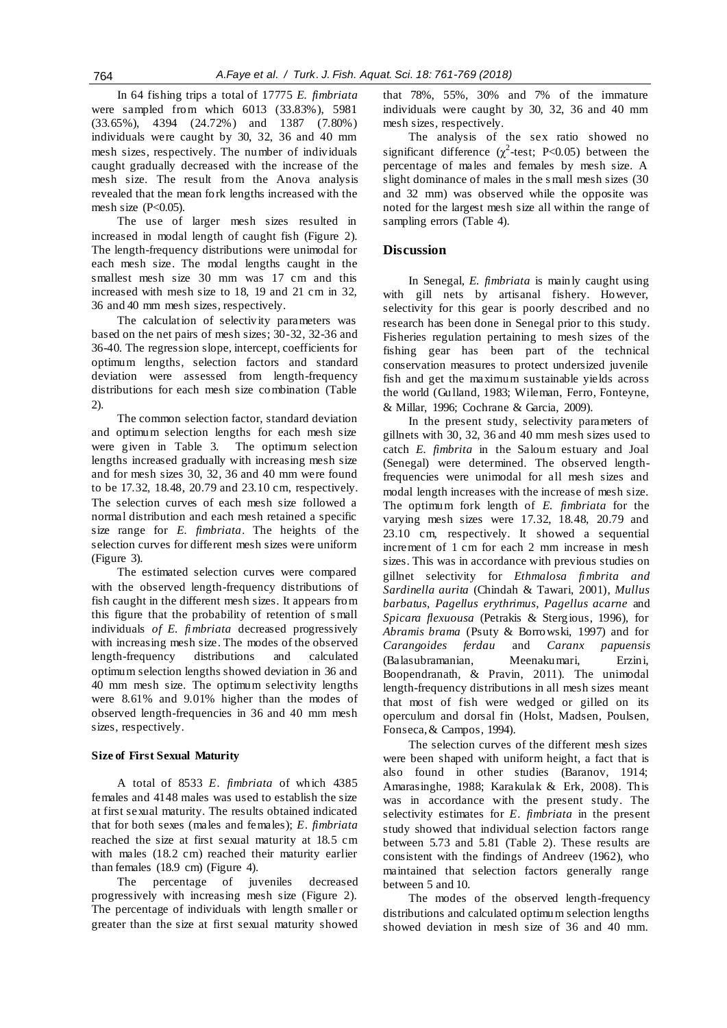In 64 fishing trips a total of 17775 *E. fimbriata* were sampled from which 6013 (33.83%), 5981 (33.65%), 4394 (24.72%) and 1387 (7.80%) individuals were caught by 30, 32, 36 and 40 mm mesh sizes, respectively. The number of individuals caught gradually decreased with the increase of the mesh size. The result from the Anova analysis revealed that the mean fork lengths increased with the mesh size  $(P<0.05)$ .

The use of larger mesh sizes resulted in increased in modal length of caught fish (Figure 2). The length-frequency distributions were unimodal for each mesh size. The modal lengths caught in the smallest mesh size 30 mm was 17 cm and this increased with mesh size to 18, 19 and 21 cm in 32, 36 and 40 mm mesh sizes, respectively.

The calculation of selectivity parameters was based on the net pairs of mesh sizes; 30-32, 32-36 and 36-40. The regression slope, intercept, coefficients for optimum lengths, selection factors and standard deviation were assessed from length-frequency distributions for each mesh size combination (Table 2).

The common selection factor, standard deviation and optimum selection lengths for each mesh size were given in Table 3. The optimum selection lengths increased gradually with increasing mesh size and for mesh sizes 30, 32, 36 and 40 mm were found to be 17.32, 18.48, 20.79 and 23.10 cm, respectively. The selection curves of each mesh size followed a normal distribution and each mesh retained a specific size range for *E. fimbriata*. The heights of the selection curves for different mesh sizes were uniform (Figure 3).

The estimated selection curves were compared with the observed length-frequency distributions of fish caught in the different mesh sizes. It appears from this figure that the probability of retention of s mall individuals *of E. fimbriata* decreased progressively with increasing mesh size. The modes of the observed length-frequency distributions and calculated optimum selection lengths showed deviation in 36 and 40 mm mesh size. The optimum selectivity lengths were 8.61% and 9.01% higher than the modes of observed length-frequencies in 36 and 40 mm mesh sizes, respectively.

#### **Size of First Sexual Maturity**

A total of 8533 *E. fimbriata* of which 4385 females and 4148 males was used to establish the size at first sexual maturity. The results obtained indicated that for both sexes (males and females); *E. fimbriata* reached the size at first sexual maturity at 18.5 cm with males (18.2 cm) reached their maturity earlier than females (18.9 cm) (Figure 4).

The percentage of juveniles decreased progressively with increasing mesh size (Figure 2). The percentage of individuals with length smaller or greater than the size at first sexual maturity showed that 78%, 55%, 30% and 7% of the immature individuals were caught by 30, 32, 36 and 40 mm mesh sizes, respectively.

The analysis of the sex ratio showed no significant difference ( $\chi^2$ -test; P<0.05) between the percentage of males and females by mesh size. A slight dominance of males in the s mall mesh sizes (30 and 32 mm) was observed while the opposite was noted for the largest mesh size all within the range of sampling errors (Table 4).

## **Discussion**

In Senegal, *E. fimbriata* is mainly caught using with gill nets by artisanal fishery. However, selectivity for this gear is poorly described and no research has been done in Senegal prior to this study. Fisheries regulation pertaining to mesh sizes of the fishing gear has been part of the technical conservation measures to protect undersized juvenile fish and get the maximum sustainable yields across the world (Gulland, 1983; Wileman, Ferro, Fonteyne, & Millar, 1996; Cochrane & Garcia, 2009).

In the present study, selectivity parameters of gillnets with 30, 32, 36 and 40 mm mesh sizes used to catch *E. fimbrita* in the Saloum estuary and Joal (Senegal) were determined. The observed lengthfrequencies were unimodal for all mesh sizes and modal length increases with the increase of mesh size. The optimum fork length of *E. fimbriata* for the varying mesh sizes were 17.32, 18.48, 20.79 and 23.10 cm, respectively. It showed a sequential increment of 1 cm for each 2 mm increase in mesh sizes. This was in accordance with previous studies on gillnet selectivity for *Ethmalosa fimbrita and Sardinella aurita* (Chindah & Tawari, 2001), *Mullus barbatus*, *Pagellus erythrimus*, *Pagellus acarne* and *Spicara flexuousa* (Petrakis & Stergious, 1996), for *Abramis brama* (Psuty & Borrowski, 1997) and for *Carangoides ferdau* and *Caranx papuensis* (Balasubramanian, Meenakumari, Erzini, Boopendranath, & Pravin, 2011). The unimodal length-frequency distributions in all mesh sizes meant that most of fish were wedged or gilled on its operculum and dorsal fin (Holst, Madsen, Poulsen, Fonseca, & Campos, 1994).

The selection curves of the different mesh sizes were been shaped with uniform height, a fact that is also found in other studies (Baranov, 1914; Amarasinghe, 1988; Karakulak & Erk, 2008). This was in accordance with the present study. The selectivity estimates for *E. fimbriata* in the present study showed that individual selection factors range between 5.73 and 5.81 (Table 2). These results are consistent with the findings of Andreev (1962), who maintained that selection factors generally range between 5 and 10.

The modes of the observed length-frequency distributions and calculated optimum selection lengths showed deviation in mesh size of 36 and 40 mm.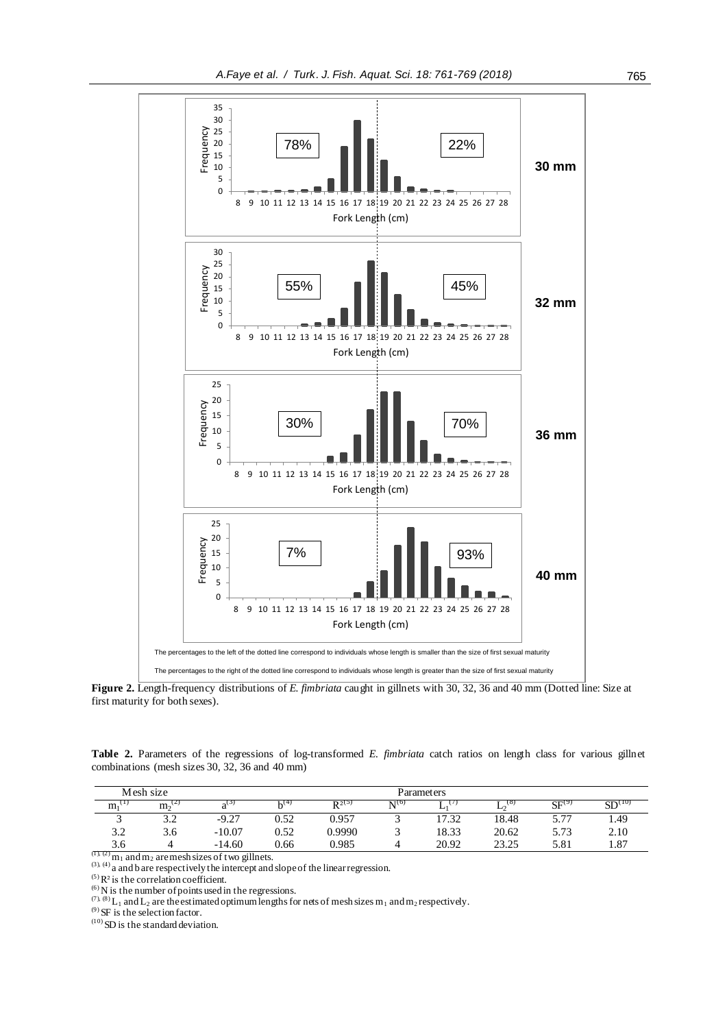

**Figure 2.** Length-frequency distributions of *E. fimbriata* caught in gillnets with 30, 32, 36 and 40 mm (Dotted line: Size at first maturity for both sexes).

Table 2. Parameters of the regressions of log-transformed *E. fimbriata* catch ratios on length class for various gillnet combinations (mesh sizes 30, 32, 36 and 40 mm)

|     | Mesh size   |          |      |                     |       | Parameters |               |            |                    |
|-----|-------------|----------|------|---------------------|-------|------------|---------------|------------|--------------------|
| m   | $m_2^{(2)}$ |          | . (4 | $\mathbf{D}^{2(3)}$ | N1(0) | ∸          | $\sigma$<br>⊷ | $SF^{(9)}$ | SD <sup>(10)</sup> |
|     | 3.2         | $-9.27$  | 0.52 | 0.957               |       | 17.32      | 18.48         | 5 77       | 1.49               |
| 3.2 | 3.6         | $-10.07$ | 0.52 | 0.9990              |       | 18.33      | 20.62         | 5.73       | 2.10               |
| 3.6 |             | $-14.60$ | 0.66 | 0.985               |       | 20.92      | 23.25<br>…ے…ک | 5.81       | 1.87               |

 $(1)$ ,  $(2)$  m<sub>1</sub> and m<sub>2</sub> are mesh sizes of two gillnets.  $(3)$ ,  $(4)$  a and b are respectively the intercept and slope of the linear regression.

 $(5)$  R<sup>2</sup> is the correlation coefficient.

 $^{(6)}$  N is the number of points used in the regressions.

(7), (8) L<sub>1</sub> and L<sub>2</sub> are the estimated optimum lengths for nets of mesh sizes m<sub>1</sub> and m<sub>2</sub> respectively.

 $(9)$  SF is the selection factor.

 $(10)$  SD is the standard deviation.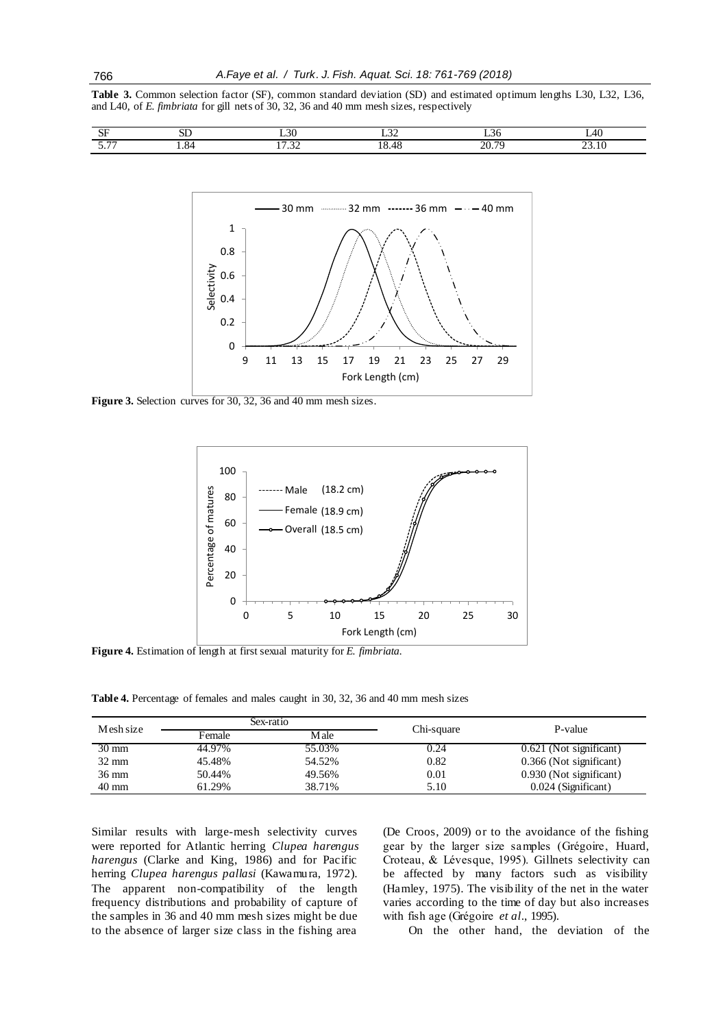**Table 3.** Common selection factor (SF), common standard deviation (SD) and estimated optimum lengths L30, L32, L36, and L40, of *E. fimbriata* for gill nets of 30, 32, 36 and 40 mm mesh sizes, respectively

| $\sim$<br>້<br>$\sim$ $-$ | $\sim$ $\sim$<br>ىدى | ⊸⊃∪<br>___    | $\sim$<br>_____ | - 30<br>__               | $-1$<br>$\sim$ |
|---------------------------|----------------------|---------------|-----------------|--------------------------|----------------|
| $ -$                      | .<br>$\cdot$ .       | $\sim$<br>⊸ ب | 49<br>ו ז ד     | 70<br>ጎሰ<br>$\angle U$ . | --             |



**Figure 3.** Selection curves for 30, 32, 36 and 40 mm mesh sizes.



**Figure 4.** Estimation of length at first sexual maturity for *E. fimbriata.*

**Table 4.** Percentage of females and males caught in 30, 32, 36 and 40 mm mesh sizes

| Mesh size       |        | Sex-ratio |            | P-value                 |
|-----------------|--------|-----------|------------|-------------------------|
|                 | Female | M ale     | Chi-square |                         |
| $30 \text{ mm}$ | 44.97% | 55.03%    | 0.24       | 0.621 (Not significant) |
| $32 \text{ mm}$ | 45.48% | 54.52%    | 0.82       | 0.366 (Not significant) |
| $36 \text{ mm}$ | 50.44% | 49.56%    | 0.01       | 0.930 (Not significant) |
| $40 \text{ mm}$ | 61.29% | 38.71%    | 5.10       | $0.024$ (Significant)   |

Similar results with large-mesh selectivity curves were reported for Atlantic herring *Clupea harengus harengus* (Clarke and King, 1986) and for Pacific herring *Clupea harengus pallasi* (Kawamura, 1972). The apparent non-compatibility of the length frequency distributions and probability of capture of the samples in 36 and 40 mm mesh sizes might be due to the absence of larger size class in the fishing area

(De Croos, 2009) or to the avoidance of the fishing gear by the larger size samples (Grégoire, Huard, Croteau, & Lévesque, 1995). Gillnets selectivity can be affected by many factors such as visibility (Hamley, 1975). The visibility of the net in the water varies according to the time of day but also increases with fish age (Grégoire *et al*., 1995).

On the other hand, the deviation of the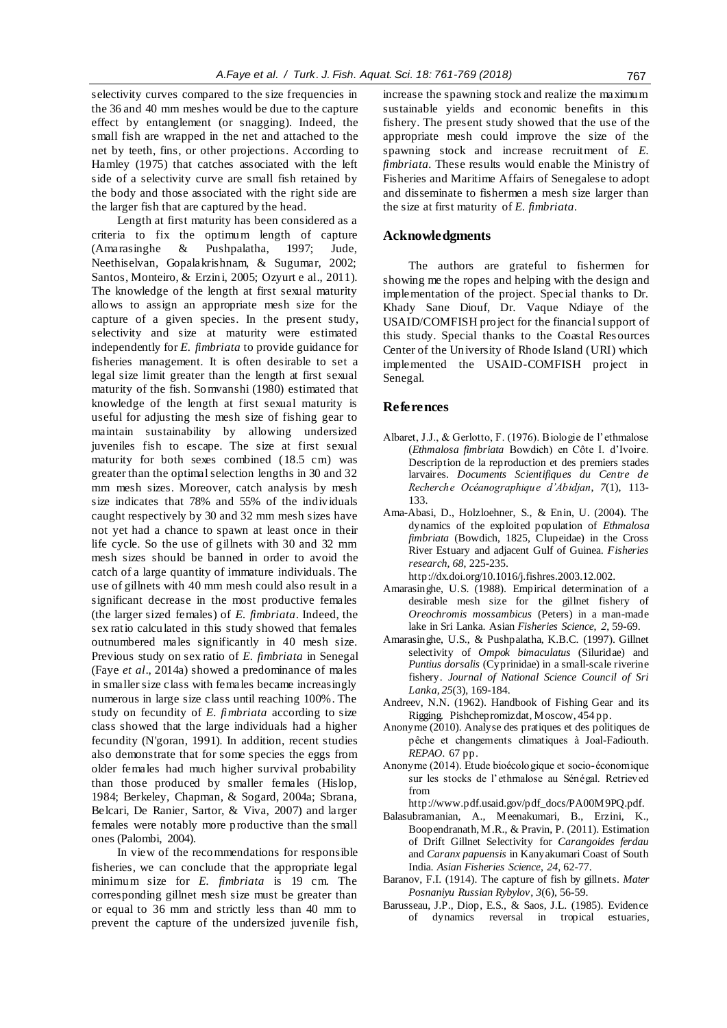selectivity curves compared to the size frequencies in the 36 and 40 mm meshes would be due to the capture effect by entanglement (or snagging). Indeed, the small fish are wrapped in the net and attached to the net by teeth, fins, or other projections. According to Hamley (1975) that catches associated with the left side of a selectivity curve are small fish retained by the body and those associated with the right side are the larger fish that are captured by the head.

Length at first maturity has been considered as a criteria to fix the optimum length of capture (Amarasinghe & Pushpalatha, 1997; Jude, Neethiselvan, Gopalakrishnam, & Sugumar, 2002; Santos, Monteiro, & Erzini, 2005; Ozyurt e al., 2011). The knowledge of the length at first sexual maturity allows to assign an appropriate mesh size for the capture of a given species. In the present study, selectivity and size at maturity were estimated independently for *E. fimbriata* to provide guidance for fisheries management. It is often desirable to set a legal size limit greater than the length at first sexual maturity of the fish. Somvanshi (1980) estimated that knowledge of the length at first sexual maturity is useful for adjusting the mesh size of fishing gear to maintain sustainability by allowing undersized juveniles fish to escape. The size at first sexual maturity for both sexes combined (18.5 cm) was greater than the optimal selection lengths in 30 and 32 mm mesh sizes. Moreover, catch analysis by mesh size indicates that 78% and 55% of the individuals caught respectively by 30 and 32 mm mesh sizes have not yet had a chance to spawn at least once in their life cycle. So the use of gillnets with 30 and 32 mm mesh sizes should be banned in order to avoid the catch of a large quantity of immature individuals. The use of gillnets with 40 mm mesh could also result in a significant decrease in the most productive females (the larger sized females) of *E. fimbriata*. Indeed, the sex ratio calculated in this study showed that females outnumbered males significantly in 40 mesh size. Previous study on sex ratio of *E. fimbriata* in Senegal (Faye *et al*., 2014a) showed a predominance of males in smaller size class with females became increasingly numerous in large size class until reaching 100%. The study on fecundity of *E. fimbriata* according to size class showed that the large individuals had a higher fecundity (N'goran, 1991). In addition, recent studies also demonstrate that for some species the eggs from older females had much higher survival probability than those produced by smaller females (Hislop, 1984; Berkeley, Chapman, & Sogard, 2004a; Sbrana, Belcari, De Ranier, Sartor, & Viva, 2007) and larger females were notably more productive than the small ones (Palombi, 2004).

In view of the recommendations for responsible fisheries, we can conclude that the appropriate legal minimum size for *E. fimbriata* is 19 cm. The corresponding gillnet mesh size must be greater than or equal to 36 mm and strictly less than 40 mm to prevent the capture of the undersized juvenile fish,

increase the spawning stock and realize the maximum sustainable yields and economic benefits in this fishery. The present study showed that the use of the appropriate mesh could improve the size of the spawning stock and increase recruitment of *E. fimbriata.* These results would enable the Ministry of Fisheries and Maritime Affairs of Senegalese to adopt and disseminate to fishermen a mesh size larger than the size at first maturity of *E. fimbriata.*

## **Acknowledgments**

The authors are grateful to fishermen for showing me the ropes and helping with the design and implementation of the project. Special thanks to Dr. Khady Sane Diouf, Dr. Vaque Ndiaye of the USAID/COMFISH project for the financial support of this study. Special thanks to the Coastal Resources Center of the University of Rhode Island (URI) which implemented the USAID-COMFISH project in Senegal.

## **References**

- Albaret, J.J., & Gerlotto, F. (1976). Biologie de l'ethmalose (*Ethmalosa fimbriata* Bowdich) en Côte I. d'Ivoire. Description de la reproduction et des premiers stades larvaires. *Documents Scientifiques du Centre de Recherche Océanographique d'Abidjan*, *7*(1), 113- 133.
- Ama-Abasi, D., Holzloehner, S., & Enin, U. (2004). The dynamics of the exploited population of *Ethmalosa fimbriata* (Bowdich, 1825, Clupeidae) in the Cross River Estuary and adjacent Gulf of Guinea. *Fisheries research*, *68*, 225-235.

http://dx.doi.org/10.1016/j.fishres.2003.12.002.

- Amarasinghe, U.S. (1988). Empirical determination of a desirable mesh size for the gillnet fishery of *Oreochromis mossambicus* (Peters) in a man-made lake in Sri Lanka. Asian *Fisheries Science*, *2*, 59-69.
- Amarasinghe, U.S., & Pushpalatha, K.B.C. (1997). Gillnet selectivity of *Ompok bimaculatus* (Siluridae) and *Puntius dorsalis* (Cyprinidae) in a small-scale riverine fishery. *Journal of National Science Council of Sri Lanka*, *25*(3), 169-184.
- Andreev, N.N. (1962). Handbook of Fishing Gear and its Rigging. Pishchepromizdat, Moscow, 454 pp.
- Anonyme (2010). Analyse des pratiques et des politiques de pêche et changements climatiques à Joal-Fadiouth. *REPAO.* 67 pp.
- Anonyme (2014). Etude bioécologique et socio-économique sur les stocks de l'ethmalose au Sénégal. Retrieved from

http://www.pdf.usaid.gov/pdf\_docs/PA00M9PQ.pdf.

- Balasubramanian, A., Meenakumari, B., Erzini, K., Boopendranath, M.R., & Pravin, P. (2011). Estimation of Drift Gillnet Selectivity for *Carangoides ferdau*  and *Caranx papuensis* in Kanyakumari Coast of South India. *Asian Fisheries Science*, *24*, 62-77.
- Baranov, F.I. (1914). The capture of fish by gillnets. *Mater Posnaniyu Russian Rybylov*, *3*(6), 56-59.
- Barusseau, J.P., Diop, E.S., & Saos, J.L. (1985). Evidence of dynamics reversal in tropical estuaries,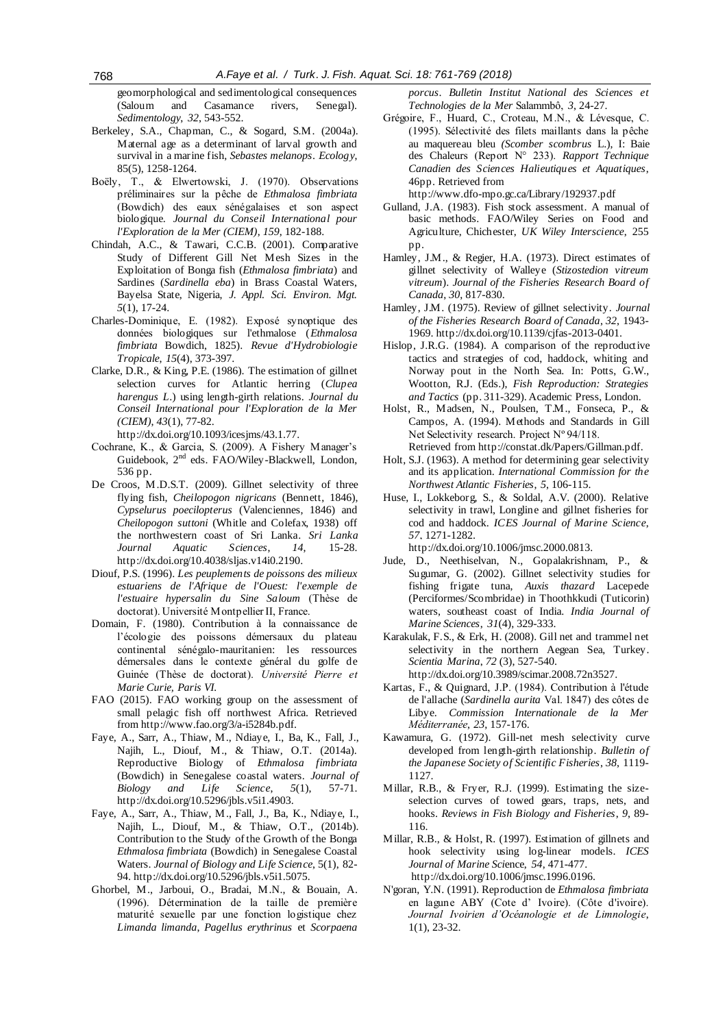geomorphological and sedimentological consequences (Saloum and Casamance rivers, Senegal). *Sedimentology*, *32*, 543-552.

- Berkeley, S.A., Chapman, C., & Sogard, S.M. (2004a). Maternal age as a determinant of larval growth and survival in a marine fish, *Sebastes melanops*. *Ecology*, 85(5), 1258-1264.
- Boëly, T., & Elwertowski, J. (1970). Observations préliminaires sur la pêche de *Ethmalosa fimbriata*  (Bowdich) des eaux sénégalaises et son aspect biologique. *Journal du Conseil International pour l'Exploration de la Mer (CIEM)*, *159*, 182-188.
- Chindah, A.C., & Tawari, C.C.B. (2001). Comparative Study of Different Gill Net Mesh Sizes in the Exploitation of Bonga fish (*Ethmalosa fimbriata*) and Sardines (*Sardinella eba*) in Brass Coastal Waters, Bayelsa State, Nigeria, *J. Appl. Sci. Environ. Mgt. 5*(1), 17-24.
- Charles-Dominique, E. (1982). Exposé synoptique des données biologiques sur l'ethmalose (*Ethmalosa fimbriata* Bowdich, 1825). *Revue d'Hydrobiologie Tropicale*, *15*(4), 373-397.
- Clarke, D.R., & King, P.E. (1986). The estimation of gillnet selection curves for Atlantic herring (*Clupea harengus L*.) using length-girth relations. *Journal du Conseil International pour l'Exploration de la Mer (CIEM)*, *43*(1), 77-82.

http://dx.doi.org[/10.1093/icesjms/43.1.77.](https://doi.org/10.1093/icesjms/43.1.77)

- Cochrane, K., & Garcia, S. (2009). A Fishery Manager's Guidebook, 2nd eds. FAO/Wiley-Blackwell, London, 536 pp.
- De Croos, M.D.S.T. (2009). Gillnet selectivity of three flying fish, *Cheilopogon nigricans* (Bennett, 1846), *Cypselurus poecilopterus* (Valenciennes, 1846) and *Cheilopogon suttoni* (Whitle and Colefax, 1938) off the northwestern coast of Sri Lanka. *Sri Lanka Journal Aquatic Sciences*, *14*, 15-28. http://dx.doi.org/10.4038/sljas.v14i0.2190.
- Diouf, P.S. (1996). *Les peuplements de poissons des milieux estuariens de l'Afrique de l'Ouest: l'exemple de l'estuaire hypersalin du Sine Saloum* (Thèse de doctorat). Université Montpellier II, France.
- Domain, F. (1980). Contribution à la connaissance de l'écologie des poissons démersaux du plateau continental sénégalo-mauritanien: les ressources démersales dans le contexte général du golfe de Guinée (Thèse de doctorat). *Université Pierre et Marie Curie, Paris VI.*
- FAO (2015). FAO working group on the assessment of small pelagic fish off northwest Africa. Retrieved from http://www.fao.org/3/a-i5284b.pdf.
- Faye, A., Sarr, A., Thiaw, M., Ndiaye, I., Ba, K., Fall, J., Najih, L., Diouf, M., & Thiaw, O.T. (2014a). Reproductive Biology of *Ethmalosa fimbriata* (Bowdich) in Senegalese coastal waters. *Journal of Biology and Life Science*, *5*(1), 57-71. http://dx.doi.org/10.5296/jbls.v5i1.4903.
- Faye, A., Sarr, A., Thiaw, M., Fall, J., Ba, K., Ndiaye, I., Najih, L., Diouf, M., & Thiaw, O.T., (2014b). Contribution to the Study of the Growth of the Bonga *Ethmalosa fimbriata* (Bowdich) in Senegalese Coastal Waters. *Journal of Biology and Life Science*, 5(1), 82- 94. http://dx.doi.org/10.5296/jbls.v5i1.5075.
- Ghorbel, M., Jarboui, O., Bradai, M.N., & Bouain, A. (1996). Détermination de la taille de première maturité sexuelle par une fonction logistique chez *Limanda limanda*, *Pagellus erythrinus* et *Scorpaena*

*porcus*. *Bulletin Institut National des Sciences et Technologies de la Mer* Salammbô, *3*, 24-27.

Grégoire, F., Huard, C., Croteau, M.N., & Lévesque, C. (1995). Sélectivité des filets maillants dans la pêche au maquereau bleu *(Scomber scombrus* L.), I: Baie des Chaleurs (Report N° 233). *Rapport Technique Canadien des Sciences Halieutiques et Aquatiques*, 46pp. Retrieved from

http://www.dfo-mpo.gc.ca/Library/192937.pdf

- Gulland, J.A. (1983). Fish stock assessment. A manual of basic methods. FAO/Wiley Series on Food and Agriculture, Chichester, *UK Wiley Interscience*, 255 pp.
- Hamley, J.M., & Regier, H.A. (1973). Direct estimates of gillnet selectivity of Walleye (*Stizostedion vitreum vitreum*). *Journal of the Fisheries Research Board of Canada*, *30*, 817-830.
- Hamley, J.M. (1975). Review of gillnet selectivity. *Journal of the Fisheries Research Board of Canada*, *32*, 1943- 1969[. http://dx.doi.org/10.1139/cjfas-2013-0401.](http://dx.doi.org/10.1139/cjfas-2013-0401)
- Hislop, J.R.G. (1984). A comparison of the reproductive tactics and strategies of cod, haddock, whiting and Norway pout in the North Sea. In: Potts, G.W., Wootton, R.J. (Eds.), *Fish Reproduction: Strategies and Tactics* (pp. 311-329). Academic Press, London.
- Holst, R., Madsen, N., Poulsen, T.M., Fonseca, P., & Campos, A. (1994). Methods and Standards in Gill Net Selectivity research. Project Nº 94/118. Retrieved from http://constat.dk/Papers/Gillman.pdf.
- Holt, S.J. (1963). A method for determining gear selectivity and its application. *International Commission for the Northwest Atlantic Fisheries*, *5*, 106-115.
- Huse, I., Lokkeborg, S., & Soldal, A.V. (2000). Relative selectivity in trawl, Longline and gillnet fisheries for cod and haddock. *ICES Journal of Marine Science*, *57*, 1271-1282.

http://dx.doi.org/10.1006/jmsc.2000.0813.

Jude, D., Neethiselvan, N., Gopalakrishnam, P., & Sugumar, G. (2002). Gillnet selectivity studies for fishing frigate tuna, *Auxis thazard* Lacepede (Perciformes/Scombridae) in Thoothkkudi (Tuticorin) waters, southeast coast of India. *India Journal of Marine Sciences*, *31*(4), 329-333.

Karakulak, F.S., & Erk, H. (2008). Gill net and trammel net selectivity in the northern Aegean Sea, Turkey. *Scientia Marina*, *72* (3), 527-540. http://dx.doi.org/10.3989/scimar.2008.72n3527.

- Kartas, F., & Quignard, J.P. (1984). Contribution à l'étude de l'allache (*Sardinella aurita* Val. 1847) des côtes de Libye. *Commission Internationale de la Mer Méditerranée*, *23*, 157-176.
- Kawamura, G. (1972). Gill-net mesh selectivity curve developed from length-girth relationship. *Bulletin of the Japanese Society of Scientific Fisheries*, *38*, 1119- 1127.
- Millar, R.B., & Fryer, R.J. (1999). Estimating the sizeselection curves of towed gears, traps, nets, and hooks. *Reviews in Fish Biology and Fisheries*, *9*, 89- 116.
- Millar, R.B., & Holst, R. (1997). Estimation of gillnets and hook selectivity using log-linear models. *ICES Journal of Marine Sci*ence, *54*, 471-477. http://dx.doi.org/10.1006/jmsc.1996.0196.
- N'goran, Y.N. (1991). Reproduction de *Ethmalosa fimbriata*  en lagune ABY (Cote d' Ivoire). (Côte d'ivoire). *Journal Ivoirien d'Océanologie et de Limnologie*, 1(1), 23-32.